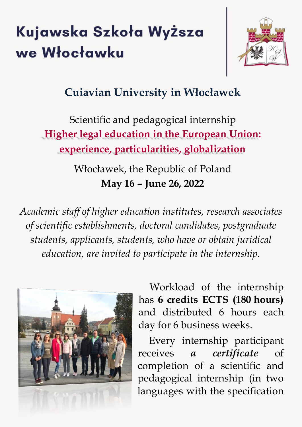# Kujawska Szkoła Wyższa we Włocławku



# **Cuiavian University in Włocławek**

Scientific and pedagogical internship **Higher legal education in the European Union: experience, particularities, globalization**

> Włocławek, the Republic of Poland **May 16 – June 26, 2022**

*Academic staff of higher education institutes, research associates of scientific establishments, doctoral candidates, postgraduate students, applicants, students, who have or obtain juridical education, are invited to participate in the internship.*



Workload of the internship has **6 credits ECTS (180 hours)** and distributed 6 hours each day for 6 business weeks.

Every internship participant receives *a certificate* of completion of a scientific and pedagogical internship (in two languages with the specification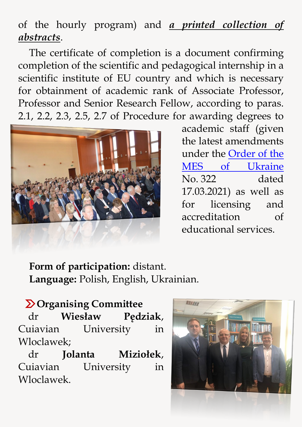# of the hourly program) and *a printed collection of abstracts*.

The certificate of completion is a document confirming completion of the scientific and pedagogical internship in a scientific institute of EU country and which is necessary for obtainment of academic rank of Associate Professor, Professor and Senior Research Fellow, according to paras. 2.1, 2.2, 2.3, 2.5, 2.7 of Procedure for awarding degrees to



academic staff (given the latest amendments under the [Order of the](https://zakon.rada.gov.ua/laws/show/z0646-21#n2)  [MES of Ukraine](https://zakon.rada.gov.ua/laws/show/z0646-21#n2) No. 322 dated 17.03.2021) as well as for licensing and accreditation of educational services.

**Form of participation:** distant. **Language:** Polish, English, Ukrainian.

 **Organising Committee** dr **Wiesław Pędziak**, Cuiavian University in Wloclawek;

dr **Jolanta Miziołek**, Cuiavian University in Wloclawek.

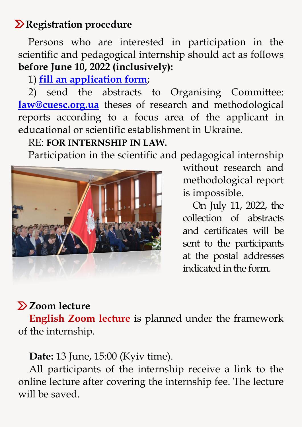## *Registration procedure*

Persons who are interested in participation in the scientific and pedagogical internship should act as follows **before June 10, 2022 (inclusively):**

## 1) **[fill an application form](https://docs.google.com/forms/d/1m5KfvPcRQMtcsFXXM2ZZrgC7FVQ5DzDc1GdbLAFkoxk/viewform?edit_requested=true)**;

2) send the abstracts to Organising Committee: **[law@cuesc.org.ua](mailto:law@cuesc.org.ua)** theses of research and methodological reports according to a focus area of the applicant in educational or scientific establishment in Ukraine.

#### RE: **FOR INTERNSHIP IN LAW.**

Participation in the scientific and pedagogical internship



without research and methodological report is impossible.

On July 11, 2022, the collection of abstracts and certificates will be sent to the participants at the postal addresses indicated in the form.

# **Zoom lecture**

**English Zoom lecture** is planned under the framework of the internship.

**Date:** 13 June, 15:00 (Kyiv time).

All participants of the internship receive a link to the online lecture after covering the internship fee. The lecture will be saved.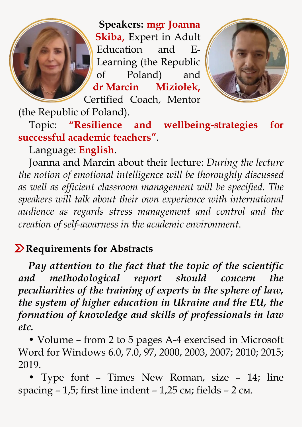**Speakers: mgr Joanna Skiba,** Expert in Adult Education and E-Learning (the Republic of Poland) and **dr Marcin Miziołek,** Certified Coach, Mentor



(the Republic of Poland).

Topic: **"Resilience and wellbeing-strategies for successful academic teachers"**.

Language: **English**.

Joanna and Marcin about their lecture: *During the lecture the notion of emotional intelligence will be thoroughly discussed as well as efficient classroom management will be specified. The speakers will talk about their own experience with international audience as regards stress management and control and the creation of self-awarness in the academic environment*.

## $\sum$  Requirements for Abstracts

*Pay attention to the fact that the topic of the scientific and methodological report should concern the peculiarities of the training of experts in the sphere of law, the system of higher education in Ukraine and the EU, the formation of knowledge and skills of professionals in law etc.*

• Volume – from 2 to 5 pages A-4 exercised in Microsoft Word for Windows 6.0, 7.0, 97, 2000, 2003, 2007; 2010; 2015; 2019.

• Type font – Times New Roman, size – 14; line spacing  $-1,5$ ; first line indent  $-1,25$  cm; fields  $-2$  cm.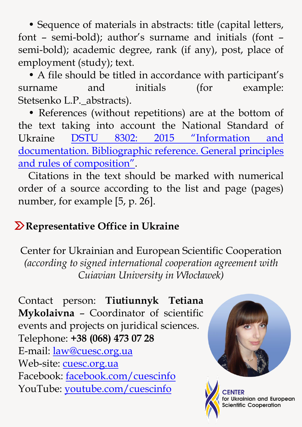• Sequence of materials in abstracts: title (capital letters, font – semi-bold); author's surname and initials (font – semi-bold); academic degree, rank (if any), post, place of employment (study); text.

• A file should be titled in accordance with participant's surname and initials (for example: Stetsenko L.P.\_abstracts).

• References (without repetitions) are at the bottom of the text taking into account the National Standard of Ukraine [DSTU 8302: 2015 "Infor](https://cuesc.org.ua/bibl.pdf)mation and [documentation. Bibliographic reference. General principles](https://cuesc.org.ua/bibl.pdf)  [and rules of composition".](https://cuesc.org.ua/bibl.pdf)

Citations in the text should be marked with numerical order of a source according to the list and page (pages) number, for example [5, p. 26].

## **Representative Office in Ukraine**

Center for Ukrainian and European Scientific Cooperation *(according to signed international cooperation agreement with Cuiavian University in Włocławek)*

Contact person: **Tiutiunnyk Tetiana Mykolaivna** – Coordinator of scientific events and projects on juridical sciences. Telephone: **+38 (068) 473 07 28** E-mail: [law@cuesc.org.ua](mailto:law@cuesc.org.ua) Web-site: [cuesc.org.ua](http://www.cuesc.org.ua/) Facebook: [facebook.com/cuescinfo](https://www.facebook.com/cuescinfo/) YouTube: [youtube.com/cuescinfo](https://www.youtube.com/channel/UCL1F1ZKD05uKqu8RI7-bHJA)